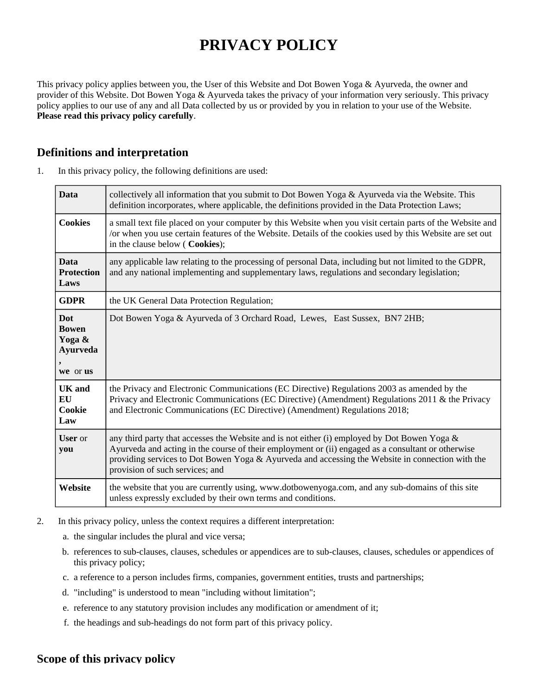# **PRIVACY POLICY**

This privacy policy applies between you, the User of this Website and Dot Bowen Yoga & Ayurveda, the owner and provider of this Website. Dot Bowen Yoga & Ayurveda takes the privacy of your information very seriously. This privacy policy applies to our use of any and all Data collected by us or provided by you in relation to your use of the Website. **Please read this privacy policy carefully**.

## **Definitions and interpretation**

| <b>Data</b>                                                  | collectively all information that you submit to Dot Bowen Yoga & Ayurveda via the Website. This<br>definition incorporates, where applicable, the definitions provided in the Data Protection Laws;                                                                                                                                       |
|--------------------------------------------------------------|-------------------------------------------------------------------------------------------------------------------------------------------------------------------------------------------------------------------------------------------------------------------------------------------------------------------------------------------|
| <b>Cookies</b>                                               | a small text file placed on your computer by this Website when you visit certain parts of the Website and<br>/or when you use certain features of the Website. Details of the cookies used by this Website are set out<br>in the clause below ( Cookies);                                                                                 |
| <b>Data</b><br><b>Protection</b><br>Laws                     | any applicable law relating to the processing of personal Data, including but not limited to the GDPR,<br>and any national implementing and supplementary laws, regulations and secondary legislation;                                                                                                                                    |
| <b>GDPR</b>                                                  | the UK General Data Protection Regulation;                                                                                                                                                                                                                                                                                                |
| Dot<br><b>Bowen</b><br>Yoga &<br><b>Ayurveda</b><br>we or us | Dot Bowen Yoga & Ayurveda of 3 Orchard Road, Lewes, East Sussex, BN7 2HB;                                                                                                                                                                                                                                                                 |
| <b>UK</b> and<br>EU<br>Cookie<br>Law                         | the Privacy and Electronic Communications (EC Directive) Regulations 2003 as amended by the<br>Privacy and Electronic Communications (EC Directive) (Amendment) Regulations 2011 & the Privacy<br>and Electronic Communications (EC Directive) (Amendment) Regulations 2018;                                                              |
| <b>User</b> or<br>you                                        | any third party that accesses the Website and is not either (i) employed by Dot Bowen Yoga &<br>Ayurveda and acting in the course of their employment or (ii) engaged as a consultant or otherwise<br>providing services to Dot Bowen Yoga & Ayurveda and accessing the Website in connection with the<br>provision of such services; and |
| Website                                                      | the website that you are currently using, www.dotbowenyoga.com, and any sub-domains of this site<br>unless expressly excluded by their own terms and conditions.                                                                                                                                                                          |

1. In this privacy policy, the following definitions are used:

- 2. In this privacy policy, unless the context requires a different interpretation:
	- a. the singular includes the plural and vice versa;
	- b. references to sub-clauses, clauses, schedules or appendices are to sub-clauses, clauses, schedules or appendices of this privacy policy;
	- c. a reference to a person includes firms, companies, government entities, trusts and partnerships;
	- d. "including" is understood to mean "including without limitation";
	- e. reference to any statutory provision includes any modification or amendment of it;
	- f. the headings and sub-headings do not form part of this privacy policy.

#### **Scope of this privacy policy**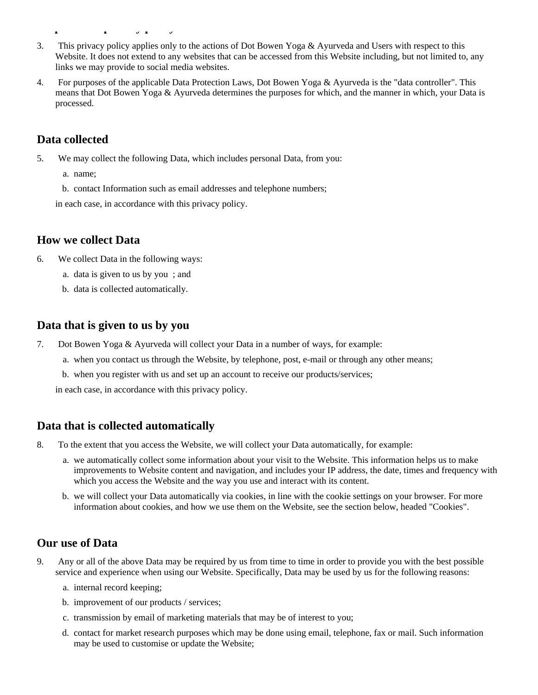- 3. This privacy policy applies only to the actions of Dot Bowen Yoga & Ayurveda and Users with respect to this Website. It does not extend to any websites that can be accessed from this Website including, but not limited to, any links we may provide to social media websites.
- 4. For purposes of the applicable Data Protection Laws, Dot Bowen Yoga & Ayurveda is the "data controller". This means that Dot Bowen Yoga & Ayurveda determines the purposes for which, and the manner in which, your Data is processed.

### **Data collected**

**Scope of this privacy policy policy policy policy policy policy policy policy policy policy policy policy poli** 

- 5. We may collect the following Data, which includes personal Data, from you:
	- a. name;
	- b. contact Information such as email addresses and telephone numbers;
	- in each case, in accordance with this privacy policy.

#### **How we collect Data**

- 6. We collect Data in the following ways:
	- a. data is given to us by you ; and
	- b. data is collected automatically.

#### **Data that is given to us by you**

- 7. Dot Bowen Yoga & Ayurveda will collect your Data in a number of ways, for example:
	- a. when you contact us through the Website, by telephone, post, e-mail or through any other means;
	- b. when you register with us and set up an account to receive our products/services;

in each case, in accordance with this privacy policy.

#### **Data that is collected automatically**

- 8. To the extent that you access the Website, we will collect your Data automatically, for example:
	- a. we automatically collect some information about your visit to the Website. This information helps us to make improvements to Website content and navigation, and includes your IP address, the date, times and frequency with which you access the Website and the way you use and interact with its content.
	- b. we will collect your Data automatically via cookies, in line with the cookie settings on your browser. For more information about cookies, and how we use them on the Website, see the section below, headed "Cookies".

#### **Our use of Data**

- 9. Any or all of the above Data may be required by us from time to time in order to provide you with the best possible service and experience when using our Website. Specifically, Data may be used by us for the following reasons:
	- a. internal record keeping;
	- b. improvement of our products / services;
	- c. transmission by email of marketing materials that may be of interest to you;
	- d. contact for market research purposes which may be done using email, telephone, fax or mail. Such information may be used to customise or update the Website;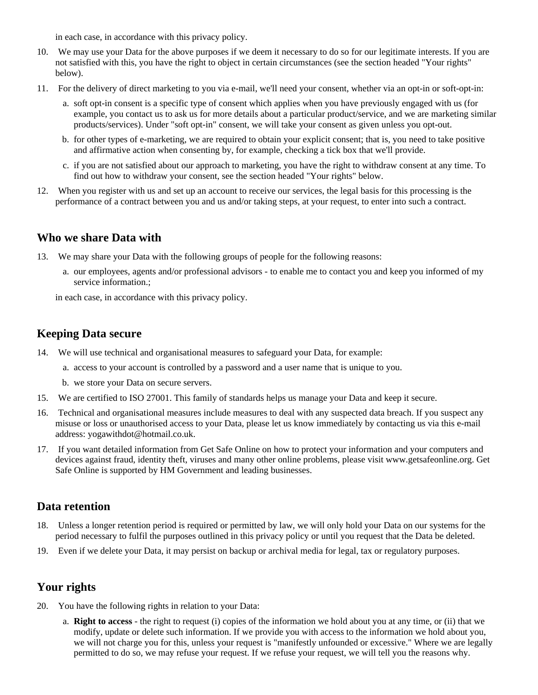in each case, in accordance with this privacy policy.

- 10. We may use your Data for the above purposes if we deem it necessary to do so for our legitimate interests. If you are not satisfied with this, you have the right to object in certain circumstances (see the section headed "Your rights" below).
- 11. For the delivery of direct marketing to you via e-mail, we'll need your consent, whether via an opt-in or soft-opt-in:
	- a. soft opt-in consent is a specific type of consent which applies when you have previously engaged with us (for example, you contact us to ask us for more details about a particular product/service, and we are marketing similar products/services). Under "soft opt-in" consent, we will take your consent as given unless you opt-out.
	- b. for other types of e-marketing, we are required to obtain your explicit consent; that is, you need to take positive and affirmative action when consenting by, for example, checking a tick box that we'll provide.
	- c. if you are not satisfied about our approach to marketing, you have the right to withdraw consent at any time. To find out how to withdraw your consent, see the section headed "Your rights" below.
- 12. When you register with us and set up an account to receive our services, the legal basis for this processing is the performance of a contract between you and us and/or taking steps, at your request, to enter into such a contract.

#### **Who we share Data with**

- 13. We may share your Data with the following groups of people for the following reasons:
	- a. our employees, agents and/or professional advisors to enable me to contact you and keep you informed of my service information.;

in each case, in accordance with this privacy policy.

#### **Keeping Data secure**

- 14. We will use technical and organisational measures to safeguard your Data, for example:
	- a. access to your account is controlled by a password and a user name that is unique to you.
	- b. we store your Data on secure servers.
- 15. We are certified to ISO 27001. This family of standards helps us manage your Data and keep it secure.
- 16. Technical and organisational measures include measures to deal with any suspected data breach. If you suspect any misuse or loss or unauthorised access to your Data, please let us know immediately by contacting us via this e-mail address: yogawithdot@hotmail.co.uk.
- 17. If you want detailed information from Get Safe Online on how to protect your information and your computers and devices against fraud, identity theft, viruses and many other online problems, please visit www.getsafeonline.org. Get Safe Online is supported by HM Government and leading businesses.

#### **Data retention**

- 18. Unless a longer retention period is required or permitted by law, we will only hold your Data on our systems for the period necessary to fulfil the purposes outlined in this privacy policy or until you request that the Data be deleted.
- 19. Even if we delete your Data, it may persist on backup or archival media for legal, tax or regulatory purposes.

## **Your rights**

- 20. You have the following rights in relation to your Data:
	- a. **Right to access** the right to request (i) copies of the information we hold about you at any time, or (ii) that we modify, update or delete such information. If we provide you with access to the information we hold about you, we will not charge you for this, unless your request is "manifestly unfounded or excessive." Where we are legally permitted to do so, we may refuse your request. If we refuse your request, we will tell you the reasons why.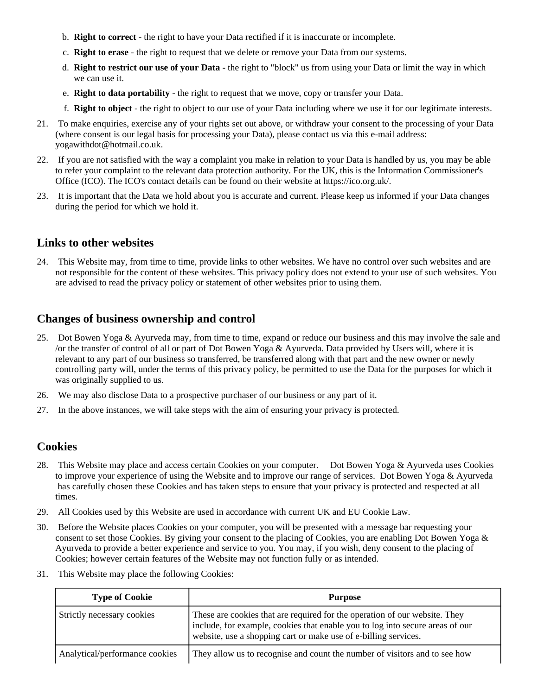- b. **Right to correct** the right to have your Data rectified if it is inaccurate or incomplete.
- c. **Right to erase** the right to request that we delete or remove your Data from our systems.
- d. **Right to restrict our use of your Data** the right to "block" us from using your Data or limit the way in which we can use it.
- e. **Right to data portability** the right to request that we move, copy or transfer your Data.
- f. **Right to object** the right to object to our use of your Data including where we use it for our legitimate interests.
- 21. To make enquiries, exercise any of your rights set out above, or withdraw your consent to the processing of your Data (where consent is our legal basis for processing your Data), please contact us via this e-mail address: yogawithdot@hotmail.co.uk.
- 22. If you are not satisfied with the way a complaint you make in relation to your Data is handled by us, you may be able to refer your complaint to the relevant data protection authority. For the UK, this is the Information Commissioner's Office (ICO). The ICO's contact details can be found on their website at https://ico.org.uk/.
- 23. It is important that the Data we hold about you is accurate and current. Please keep us informed if your Data changes during the period for which we hold it.

#### **Links to other websites**

24. This Website may, from time to time, provide links to other websites. We have no control over such websites and are not responsible for the content of these websites. This privacy policy does not extend to your use of such websites. You are advised to read the privacy policy or statement of other websites prior to using them.

## **Changes of business ownership and control**

- 25. Dot Bowen Yoga & Ayurveda may, from time to time, expand or reduce our business and this may involve the sale and /or the transfer of control of all or part of Dot Bowen Yoga & Ayurveda. Data provided by Users will, where it is relevant to any part of our business so transferred, be transferred along with that part and the new owner or newly controlling party will, under the terms of this privacy policy, be permitted to use the Data for the purposes for which it was originally supplied to us.
- 26. We may also disclose Data to a prospective purchaser of our business or any part of it.
- 27. In the above instances, we will take steps with the aim of ensuring your privacy is protected.

## **Cookies**

- 28. This Website may place and access certain Cookies on your computer. Dot Bowen Yoga & Ayurveda uses Cookies to improve your experience of using the Website and to improve our range of services. Dot Bowen Yoga & Ayurveda has carefully chosen these Cookies and has taken steps to ensure that your privacy is protected and respected at all times.
- 29. All Cookies used by this Website are used in accordance with current UK and EU Cookie Law.
- 30. Before the Website places Cookies on your computer, you will be presented with a message bar requesting your consent to set those Cookies. By giving your consent to the placing of Cookies, you are enabling Dot Bowen Yoga & Ayurveda to provide a better experience and service to you. You may, if you wish, deny consent to the placing of Cookies; however certain features of the Website may not function fully or as intended.
- 31. This Website may place the following Cookies:

| <b>Type of Cookie</b>          | <b>Purpose</b>                                                                                                                                                                                                                 |
|--------------------------------|--------------------------------------------------------------------------------------------------------------------------------------------------------------------------------------------------------------------------------|
| Strictly necessary cookies     | These are cookies that are required for the operation of our website. They<br>include, for example, cookies that enable you to log into secure areas of our<br>website, use a shopping cart or make use of e-billing services. |
| Analytical/performance cookies | They allow us to recognise and count the number of visitors and to see how                                                                                                                                                     |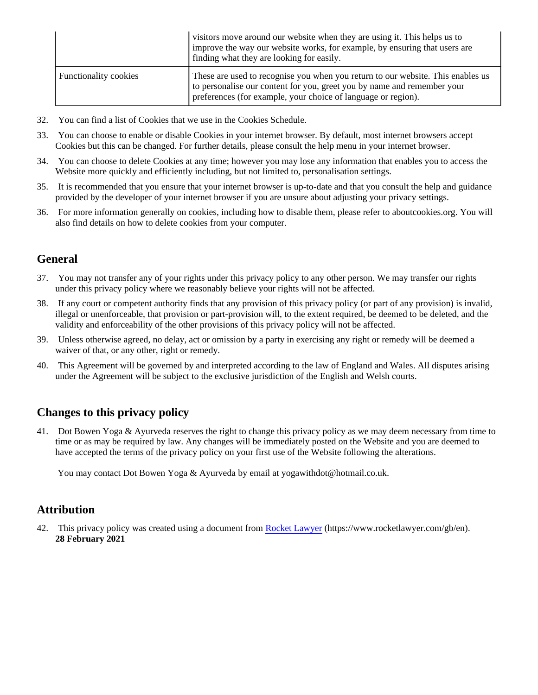|                              | visitors move around our website when they are using it. This helps us to<br>improve the way our website works, for example, by ensuring that users are<br>finding what they are looking for easily.                        |
|------------------------------|-----------------------------------------------------------------------------------------------------------------------------------------------------------------------------------------------------------------------------|
| <b>Functionality cookies</b> | These are used to recognise you when you return to our website. This enables us<br>to personalise our content for you, greet you by name and remember your<br>preferences (for example, your choice of language or region). |

- 32. You can find a list of Cookies that we use in the Cookies Schedule.
- 33. You can choose to enable or disable Cookies in your internet browser. By default, most internet browsers accept Cookies but this can be changed. For further details, please consult the help menu in your internet browser.
- 34. You can choose to delete Cookies at any time; however you may lose any information that enables you to access the Website more quickly and efficiently including, but not limited to, personalisation settings.
- 35. It is recommended that you ensure that your internet browser is up-to-date and that you consult the help and guidance provided by the developer of your internet browser if you are unsure about adjusting your privacy settings.
- 36. For more information generally on cookies, including how to disable them, please refer to aboutcookies.org. You will also find details on how to delete cookies from your computer.

# **General**

- 37. You may not transfer any of your rights under this privacy policy to any other person. We may transfer our rights under this privacy policy where we reasonably believe your rights will not be affected.
- 38. If any court or competent authority finds that any provision of this privacy policy (or part of any provision) is invalid, illegal or unenforceable, that provision or part-provision will, to the extent required, be deemed to be deleted, and the validity and enforceability of the other provisions of this privacy policy will not be affected.
- 39. Unless otherwise agreed, no delay, act or omission by a party in exercising any right or remedy will be deemed a waiver of that, or any other, right or remedy.
- 40. This Agreement will be governed by and interpreted according to the law of England and Wales. All disputes arising under the Agreement will be subject to the exclusive jurisdiction of the English and Welsh courts.

## **Changes to this privacy policy**

41. Dot Bowen Yoga & Ayurveda reserves the right to change this privacy policy as we may deem necessary from time to time or as may be required by law. Any changes will be immediately posted on the Website and you are deemed to have accepted the terms of the privacy policy on your first use of the Website following the alterations.

You may contact Dot Bowen Yoga & Ayurveda by email at yogawithdot@hotmail.co.uk.

#### **Attribution**

42. This privacy policy was created using a document from [Rocket Lawyer](https://www.rocketlawyer.com/gb/en/) (https://www.rocketlawyer.com/gb/en). **28 February 2021**